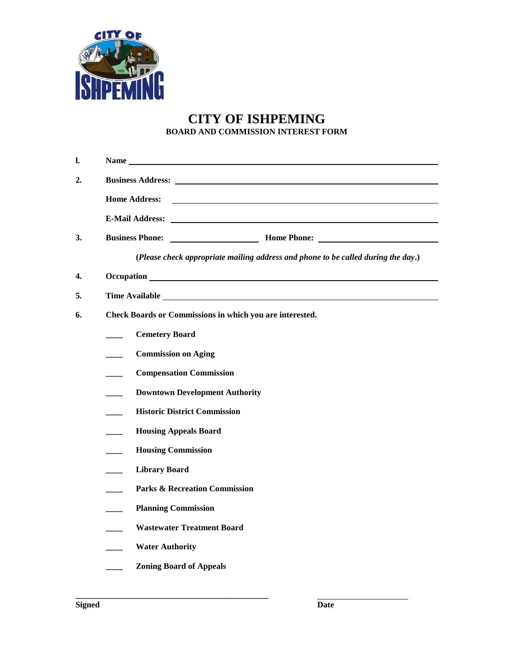

## **CITY OF ISHPEMING BOARD AND COMMISSION INTEREST FORM**

| 1. |                                                                                                                                                                                                                                |
|----|--------------------------------------------------------------------------------------------------------------------------------------------------------------------------------------------------------------------------------|
| 2. |                                                                                                                                                                                                                                |
|    | <b>Home Address:</b><br><u> 1989 - Johann Barn, amerikansk politiker (d. 1989)</u>                                                                                                                                             |
|    |                                                                                                                                                                                                                                |
| 3. |                                                                                                                                                                                                                                |
|    | (Please check appropriate mailing address and phone to be called during the day.)                                                                                                                                              |
| 4. |                                                                                                                                                                                                                                |
| 5. | Time Available Lawrence and the state of the state of the state of the state of the state of the state of the state of the state of the state of the state of the state of the state of the state of the state of the state of |
| 6. | Check Boards or Commissions in which you are interested.                                                                                                                                                                       |
|    | <b>Cemetery Board</b>                                                                                                                                                                                                          |
|    | <b>Commission on Aging</b>                                                                                                                                                                                                     |
|    | <b>Compensation Commission</b>                                                                                                                                                                                                 |
|    | <b>Downtown Development Authority</b>                                                                                                                                                                                          |
|    | <b>Historic District Commission</b>                                                                                                                                                                                            |
|    | <b>Housing Appeals Board</b><br>$\sim$                                                                                                                                                                                         |
|    | <b>Housing Commission</b><br>$\sim$                                                                                                                                                                                            |
|    | <b>Library Board</b>                                                                                                                                                                                                           |
|    | <b>Parks &amp; Recreation Commission</b>                                                                                                                                                                                       |
|    | <b>Planning Commission</b>                                                                                                                                                                                                     |
|    | <b>Wastewater Treatment Board</b>                                                                                                                                                                                              |
|    | <b>Water Authority</b>                                                                                                                                                                                                         |
|    | <b>Zoning Board of Appeals</b>                                                                                                                                                                                                 |

**\_\_\_\_\_\_\_\_\_\_\_\_\_\_\_\_\_\_\_\_\_\_\_\_\_\_\_\_\_\_\_\_\_\_\_\_\_\_\_\_\_\_\_\_\_\_**